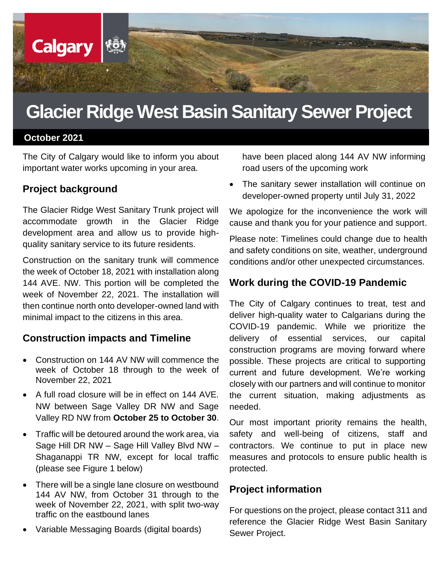

# **Glacier Ridge West Basin Sanitary Sewer Project**

#### **October 2021**

The City of Calgary would like to inform you about important water works upcoming in your area.

### **Project background**

The Glacier Ridge West Sanitary Trunk project will accommodate growth in the Glacier Ridge development area and allow us to provide highquality sanitary service to its future residents.

Construction on the sanitary trunk will commence the week of October 18, 2021 with installation along 144 AVE. NW. This portion will be completed the week of November 22, 2021. The installation will then continue north onto developer-owned land with minimal impact to the citizens in this area.

#### **Construction impacts and Timeline**

- Construction on 144 AV NW will commence the week of October 18 through to the week of November 22, 2021
- A full road closure will be in effect on 144 AVE. NW between Sage Valley DR NW and Sage Valley RD NW from **October 25 to October 30**.
- Traffic will be detoured around the work area, via Sage Hill DR NW – Sage Hill Valley Blvd NW – Shaganappi TR NW, except for local traffic (please see Figure 1 below)
- There will be a single lane closure on westbound 144 AV NW, from October 31 through to the week of November 22, 2021, with split two-way traffic on the eastbound lanes
- Variable Messaging Boards (digital boards)

have been placed along 144 AV NW informing road users of the upcoming work

• The sanitary sewer installation will continue on developer-owned property until July 31, 2022

We apologize for the inconvenience the work will cause and thank you for your patience and support.

Please note: Timelines could change due to health and safety conditions on site, weather, underground conditions and/or other unexpected circumstances.

## **Work during the COVID-19 Pandemic**

The City of Calgary continues to treat, test and deliver high-quality water to Calgarians during the COVID-19 pandemic. While we prioritize the delivery of essential services, our capital construction programs are moving forward where possible. These projects are critical to supporting current and future development. We're working closely with our partners and will continue to monitor the current situation, making adjustments as needed.

Our most important priority remains the health, safety and well-being of citizens, staff and contractors. We continue to put in place new measures and protocols to ensure public health is protected.

## **Project information**

For questions on the project, please contact 311 and reference the Glacier Ridge West Basin Sanitary Sewer Project.